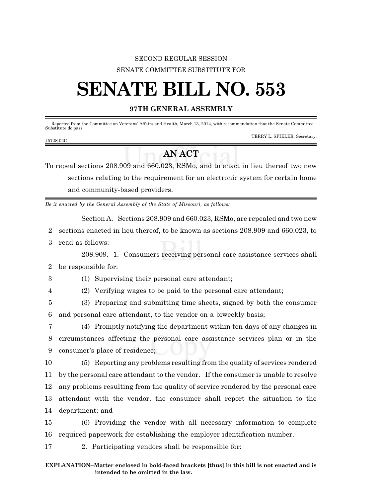## SECOND REGULAR SESSION SENATE COMMITTEE SUBSTITUTE FOR

## **SENATE BILL NO. 553**

## **97TH GENERAL ASSEMBLY**

Reported from the Committee on Veterans' Affairs and Health, March 13, 2014, with recommendation that the Senate Committee Substitute do pass.

|           | TERRY L. SPIELER, Secretary. |
|-----------|------------------------------|
| 4572S.02C |                              |

## **AN ACT**

To repeal sections 208.909 and 660.023, RSMo, and to enact in lieu thereof two new sections relating to the requirement for an electronic system for certain home and community-based providers.

*Be it enacted by the General Assembly of the State of Missouri, as follows:*

Section A. Sections 208.909 and 660.023, RSMo, are repealed and two new

- 2 sections enacted in lieu thereof, to be known as sections 208.909 and 660.023, to
- 3 read as follows:

208.909. 1. Consumers receiving personal care assistance services shall 2 be responsible for:

3 (1) Supervising their personal care attendant;

4 (2) Verifying wages to be paid to the personal care attendant;

5 (3) Preparing and submitting time sheets, signed by both the consumer 6 and personal care attendant, to the vendor on a biweekly basis;

7 (4) Promptly notifying the department within ten days of any changes in 8 circumstances affecting the personal care assistance services plan or in the 9 consumer's place of residence;

 (5) Reporting any problems resulting from the quality of services rendered by the personal care attendant to the vendor. If the consumer is unable to resolve any problems resulting from the quality of service rendered by the personal care attendant with the vendor, the consumer shall report the situation to the department; and

15 (6) Providing the vendor with all necessary information to complete 16 required paperwork for establishing the employer identification number.

17 2. Participating vendors shall be responsible for: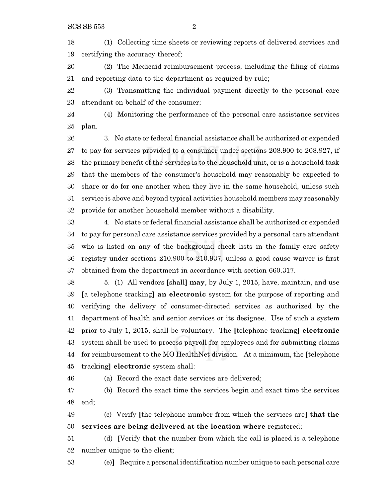(1) Collecting time sheets or reviewing reports of delivered services and certifying the accuracy thereof;

 (2) The Medicaid reimbursement process, including the filing of claims and reporting data to the department as required by rule;

 (3) Transmitting the individual payment directly to the personal care attendant on behalf of the consumer;

 (4) Monitoring the performance of the personal care assistance services plan.

 3. No state or federal financial assistance shall be authorized or expended to pay for services provided to a consumer under sections 208.900 to 208.927, if the primary benefit of the services is to the household unit, or is a household task that the members of the consumer's household may reasonably be expected to share or do for one another when they live in the same household, unless such service is above and beyond typical activities household members may reasonably provide for another household member without a disability.

 4. No state or federal financial assistance shall be authorized or expended to pay for personal care assistance services provided by a personal care attendant who is listed on any of the background check lists in the family care safety registry under sections 210.900 to 210.937, unless a good cause waiver is first obtained from the department in accordance with section 660.317.

 5. (1) All vendors **[**shall**] may**, by July 1, 2015, have, maintain, and use **[**a telephone tracking**] an electronic** system for the purpose of reporting and verifying the delivery of consumer-directed services as authorized by the department of health and senior services or its designee. Use of such a system prior to July 1, 2015, shall be voluntary. The **[**telephone tracking**] electronic** system shall be used to process payroll for employees and for submitting claims for reimbursement to the MO HealthNet division. At a minimum, the **[**telephone tracking**] electronic** system shall:

(a) Record the exact date services are delivered;

 (b) Record the exact time the services begin and exact time the services end;

 (c) Verify **[**the telephone number from which the services are**] that the services are being delivered at the location where** registered;

 (d) **[**Verify that the number from which the call is placed is a telephone number unique to the client;

(e)**]** Require a personal identification number unique to each personal care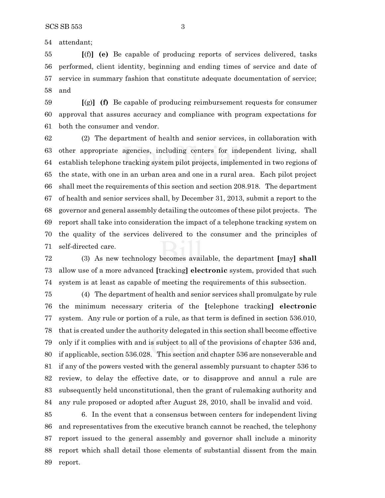attendant;

 **[**(f)**] (e)** Be capable of producing reports of services delivered, tasks performed, client identity, beginning and ending times of service and date of service in summary fashion that constitute adequate documentation of service; and

 **[**(g)**] (f)** Be capable of producing reimbursement requests for consumer approval that assures accuracy and compliance with program expectations for both the consumer and vendor.

 (2) The department of health and senior services, in collaboration with other appropriate agencies, including centers for independent living, shall establish telephone tracking system pilot projects, implemented in two regions of the state, with one in an urban area and one in a rural area. Each pilot project shall meet the requirements of this section and section 208.918. The department of health and senior services shall, by December 31, 2013, submit a report to the governor and general assembly detailing the outcomes of these pilot projects. The report shall take into consideration the impact of a telephone tracking system on the quality of the services delivered to the consumer and the principles of self-directed care.

 (3) As new technology becomes available, the department **[**may**] shall** allow use of a more advanced **[**tracking**] electronic** system, provided that such system is at least as capable of meeting the requirements of this subsection.

 (4) The department of health and senior services shall promulgate by rule the minimum necessary criteria of the **[**telephone tracking**] electronic** system. Any rule or portion of a rule, as that term is defined in section 536.010, that is created under the authority delegated in this section shall become effective only if it complies with and is subject to all of the provisions of chapter 536 and, if applicable, section 536.028. This section and chapter 536 are nonseverable and if any of the powers vested with the general assembly pursuant to chapter 536 to review, to delay the effective date, or to disapprove and annul a rule are subsequently held unconstitutional, then the grant of rulemaking authority and any rule proposed or adopted after August 28, 2010, shall be invalid and void.

 6. In the event that a consensus between centers for independent living and representatives from the executive branch cannot be reached, the telephony report issued to the general assembly and governor shall include a minority report which shall detail those elements of substantial dissent from the main report.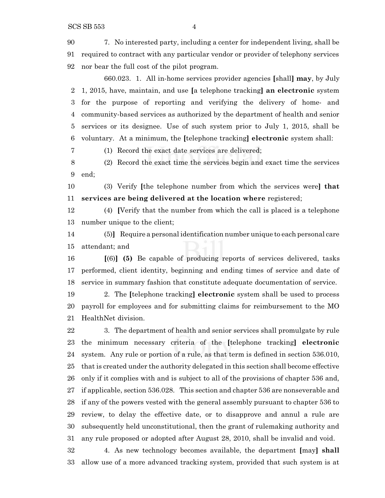7. No interested party, including a center for independent living, shall be required to contract with any particular vendor or provider of telephony services nor bear the full cost of the pilot program.

660.023. 1. All in-home services provider agencies **[**shall**] may**, by July 1, 2015, have, maintain, and use **[**a telephone tracking**] an electronic** system for the purpose of reporting and verifying the delivery of home- and community-based services as authorized by the department of health and senior services or its designee. Use of such system prior to July 1, 2015, shall be voluntary. At a minimum, the **[**telephone tracking**] electronic** system shall:

(1) Record the exact date services are delivered;

 (2) Record the exact time the services begin and exact time the services end;

 (3) Verify **[**the telephone number from which the services were**] that services are being delivered at the location where** registered;

 (4) **[**Verify that the number from which the call is placed is a telephone number unique to the client;

 (5)**]** Require a personal identification number unique to each personal care attendant; and

 **[**(6)**] (5)** Be capable of producing reports of services delivered, tasks performed, client identity, beginning and ending times of service and date of service in summary fashion that constitute adequate documentation of service.

 2. The **[**telephone tracking**] electronic** system shall be used to process payroll for employees and for submitting claims for reimbursement to the MO HealthNet division.

 3. The department of health and senior services shall promulgate by rule the minimum necessary criteria of the **[**telephone tracking**] electronic** system. Any rule or portion of a rule, as that term is defined in section 536.010, that is created under the authority delegated in this section shall become effective only if it complies with and is subject to all of the provisions of chapter 536 and, if applicable, section 536.028. This section and chapter 536 are nonseverable and if any of the powers vested with the general assembly pursuant to chapter 536 to review, to delay the effective date, or to disapprove and annul a rule are subsequently held unconstitutional, then the grant of rulemaking authority and any rule proposed or adopted after August 28, 2010, shall be invalid and void.

 4. As new technology becomes available, the department **[**may**] shall** allow use of a more advanced tracking system, provided that such system is at